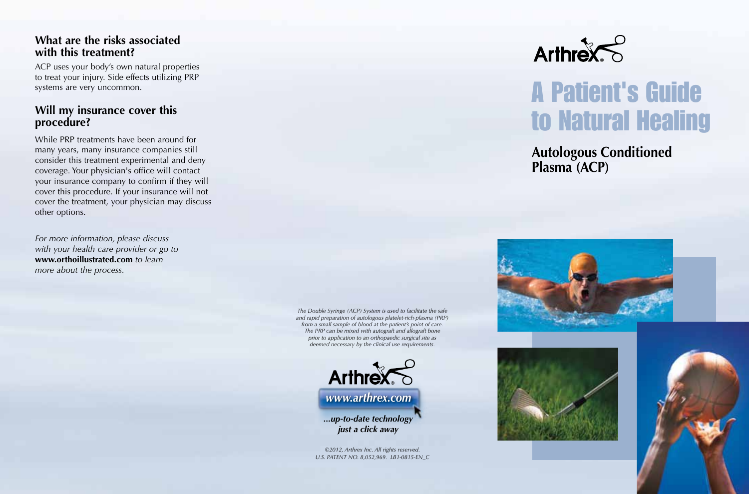#### **What are the risks associated with this treatment?**

ACP uses your body's own natural properties to treat your injury. Side effects utilizing PRP systems are very uncommon.

### **Will my insurance cover this procedure?**

While PRP treatments have been around for many years, many insurance companies still consider this treatment experimental and deny coverage. Your physician's office will contact your insurance company to confirm if they will cover this procedure. If your insurance will not cover the treatment, your physician may discuss other options.

*For more information, please discuss with your health care provider or go to*  **www.orthoillustrated.com** *to learn more about the process.*

> *The Double Syringe (ACP) System is used to facilitate the safe and rapid preparation of autologous platelet-rich-plasma (PRP) from a small sample of blood at the patient's point of care. The PRP can be mixed with autograft and allograft bone prior to application to an orthopaedic surgical site as deemed necessary by the clinical use requirements.*



*©2012, Arthrex Inc. All rights reserved. U.S. PATENT NO. 8,052,969. LB1-0815-EN\_C*



# A Patient's Guide to Natural Healing

**Autologous Conditioned Plasma (ACP)**